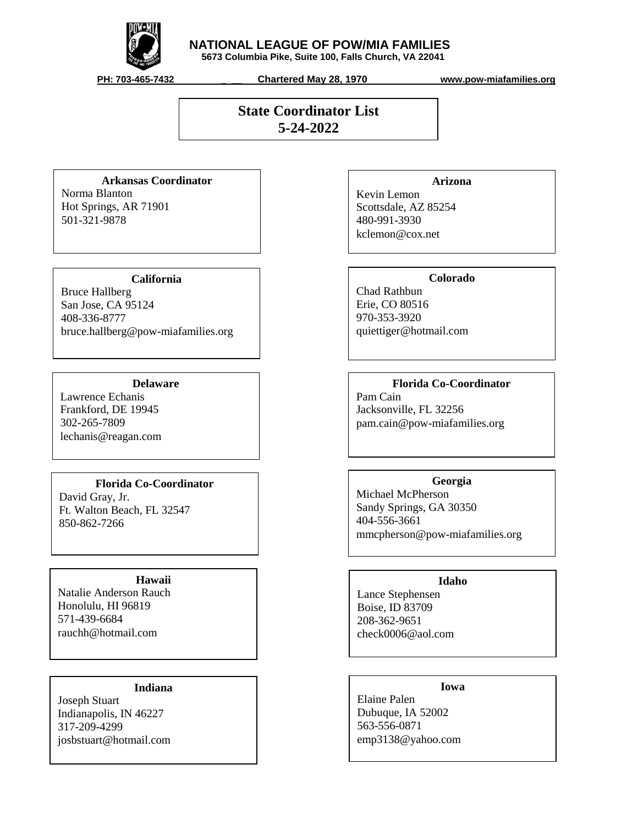

## **NATIONAL LEAGUE OF POW/MIA FAMILIES**

 **5673 Columbia Pike, Suite 100, Falls Church, VA 22041**

 **PH: 703-465-7432 \_ \_\_ Chartered May 28, 1970 www.pow-miafamilies.org**

# **State Coordinator List 5-24-2022**

## **Arkansas Coordinator**

Norma Blanton Hot Springs, AR 71901 501-321-9878

## **California**

Bruce Hallberg San Jose, CA 95124 408-336-8777 bruce.hallberg@pow-miafamilies.org

## **Delaware**

Lawrence Echanis Frankford, DE 19945 302-265-7809 lechanis@reagan.com

## **Florida Co-Coordinator**

David Gray, Jr. Ft. Walton Beach, FL 32547 850-862-7266

## **Hawaii**

Natalie Anderson Rauch Honolulu, HI 96819 571-439-6684 rauchh@hotmail.com

# **Indiana**

Joseph Stuart Indianapolis, IN 46227 317-209-4299 josbstuart@hotmail.com

## **Arizona**

Kevin Lemon Scottsdale, AZ 85254 480-991-3930 kclemon@cox.net

## **Colorado**

Chad Rathbun Erie, CO 80516 970-353-3920 quiettiger@hotmail.com

# **Florida Co-Coordinator**

Pam Cain Jacksonville, FL 32256 pam.cain@pow-miafamilies.org

# **Georgia**  Michael McPherson Sandy Springs, GA 30350 404-556-3661 mmcpherson@pow-miafamilies.org

## **Idaho**

Lance Stephensen Boise, ID 83709 208-362-9651 check0006@aol.com

# **Iowa**

Elaine Palen Dubuque, IA 52002 563-556-0871 emp3138@yahoo.com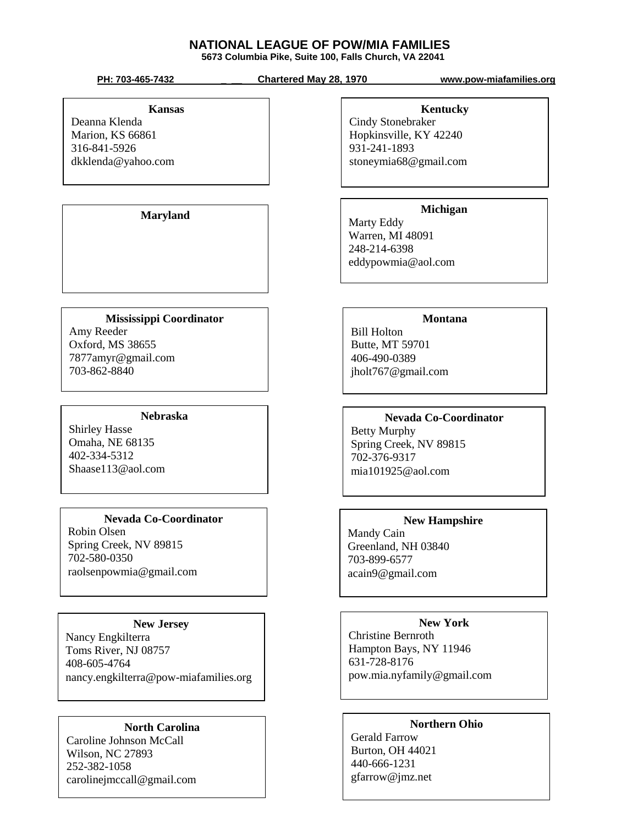# **NATIONAL LEAGUE OF POW/MIA FAMILIES**

 **5673 Columbia Pike, Suite 100, Falls Church, VA 22041**

 **PH: 703-465-7432 \_ \_\_ Chartered May 28, 1970 www.pow-miafamilies.org**

#### **Kansas**

Deanna Klenda Marion, KS 66861 316-841-5926 dkklenda@yahoo.com

**Maryland**

# **Mississippi Coordinator**

Amy Reeder Oxford, MS 38655 7877amyr@gmail.com 703-862-8840

### **Nebraska**

Shirley Hasse Omaha, NE 68135 402-334-5312 Shaase113@aol.com

## **Nevada Co-Coordinator**

Robin Olsen Spring Creek, NV 89815 702-580-0350 raolsenpowmia@gmail.com

## **New Jersey**

Nancy Engkilterra Toms River, NJ 08757 408-605-4764 nancy.engkilterra@pow-miafamilies.org

## **North Carolina**

Caroline Johnson McCall Wilson, NC 27893 252-382-1058 carolinejmccall@gmail.com

# **Kentucky**

Cindy Stonebraker Hopkinsville, KY 42240 931-241-1893 stoneymia68@gmail.com

# **Michigan**

Marty Eddy Warren, MI 48091 248-214-6398 eddypowmia@aol.com

## **Montana**

Bill Holton Butte, MT 59701 406-490-0389 jholt767@gmail.com

# **Nevada Co-Coordinator**

Betty Murphy Spring Creek, NV 89815 702-376-9317 mia101925@aol.com

# **New Hampshire**

Mandy Cain Greenland, NH 03840 703-899-6577 acain9@gmail.com

## **New York**

Christine Bernroth Hampton Bays, NY 11946 631-728-8176 pow.mia.nyfamily@gmail.com

## **Northern Ohio**

Gerald Farrow Burton, OH 44021 440-666-1231 gfarrow@jmz.net